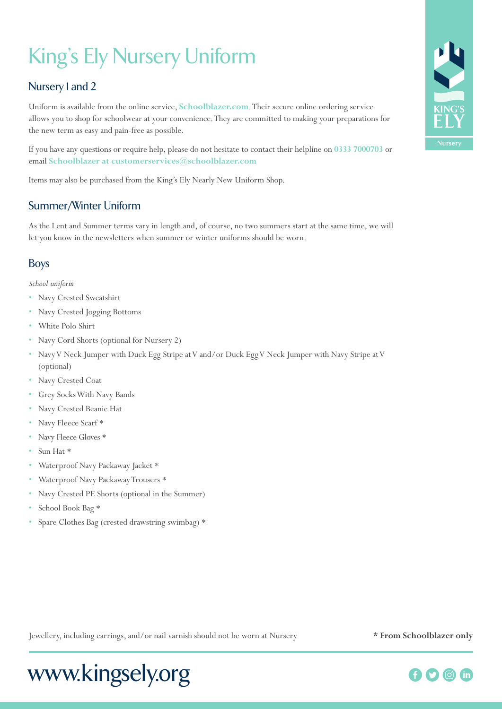# King's Ely Nursery Uniform

# Nursery 1 and 2

Uniform is available from the online service, **Schoolblazer.com**. Their secure online ordering service allows you to shop for schoolwear at your convenience. They are committed to making your preparations for the new term as easy and pain-free as possible.

If you have any questions or require help, please do not hesitate to contact their helpline on **0333 7000703** or email **Schoolblazer at customerservices@schoolblazer.com**

Items may also be purchased from the King's Ely Nearly New Uniform Shop.

# Summer/Winter Uniform

As the Lent and Summer terms vary in length and, of course, no two summers start at the same time, we will let you know in the newsletters when summer or winter uniforms should be worn.

# Boys

*School uniform*

- Navy Crested Sweatshirt
- Navy Crested Jogging Bottoms
- White Polo Shirt
- Navy Cord Shorts (optional for Nursery 2)
- Navy V Neck Jumper with Duck Egg Stripe at V and/or Duck Egg V Neck Jumper with Navy Stripe at V (optional)
- Navy Crested Coat
- Grey Socks With Navy Bands
- Navy Crested Beanie Hat
- Navy Fleece Scarf \*
- Navy Fleece Gloves \*
- Sun Hat \*
- Waterproof Navy Packaway Jacket \*
- Waterproof Navy Packaway Trousers \*
- Navy Crested PE Shorts (optional in the Summer)
- School Book Bag \*
- Spare Clothes Bag (crested drawstring swimbag) \*





# Jewellery, including earrings, and/or nail varnish should not be worn at Nursery **\* From Schoolblazer only**

# www.kingsely.org